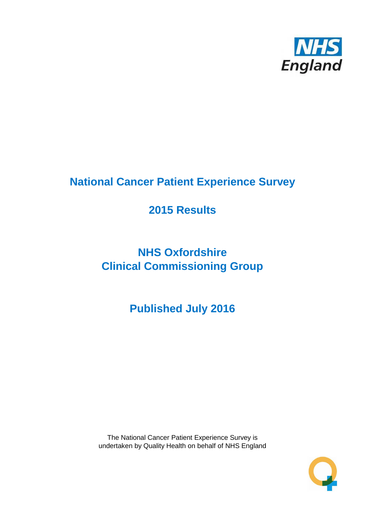

# **National Cancer Patient Experience Survey**

# **2015 Results**

# **NHS Oxfordshire Clinical Commissioning Group**

**Published July 2016**

The National Cancer Patient Experience Survey is undertaken by Quality Health on behalf of NHS England

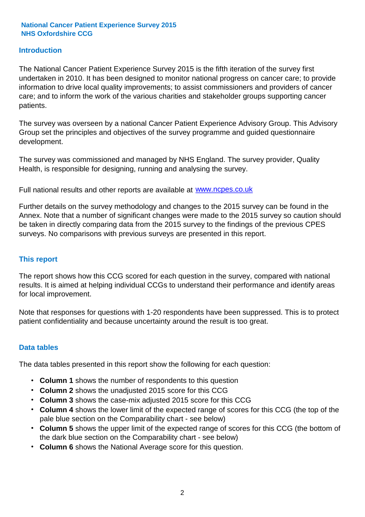#### **Introduction**

The National Cancer Patient Experience Survey 2015 is the fifth iteration of the survey first undertaken in 2010. It has been designed to monitor national progress on cancer care; to provide information to drive local quality improvements; to assist commissioners and providers of cancer care; and to inform the work of the various charities and stakeholder groups supporting cancer patients.

The survey was overseen by a national Cancer Patient Experience Advisory Group. This Advisory Group set the principles and objectives of the survey programme and guided questionnaire development.

The survey was commissioned and managed by NHS England. The survey provider, Quality Health, is responsible for designing, running and analysing the survey.

Full national results and other reports are available at www.ncpes.co.uk

Further details on the survey methodology and changes to the 2015 survey can be found in the Annex. Note that a number of significant changes were made to the 2015 survey so caution should be taken in directly comparing data from the 2015 survey to the findings of the previous CPES surveys. No comparisons with previous surveys are presented in this report.

#### **This report**

The report shows how this CCG scored for each question in the survey, compared with national results. It is aimed at helping individual CCGs to understand their performance and identify areas for local improvement.

Note that responses for questions with 1-20 respondents have been suppressed. This is to protect patient confidentiality and because uncertainty around the result is too great.

#### **Data tables**

The data tables presented in this report show the following for each question:

- **Column 1** shows the number of respondents to this question
- **Column 2** shows the unadjusted 2015 score for this CCG
- **Column 3** shows the case-mix adjusted 2015 score for this CCG
- **Column 4** shows the lower limit of the expected range of scores for this CCG (the top of the pale blue section on the Comparability chart - see below)
- **Column 5** shows the upper limit of the expected range of scores for this CCG (the bottom of the dark blue section on the Comparability chart - see below)
- **Column 6** shows the National Average score for this question.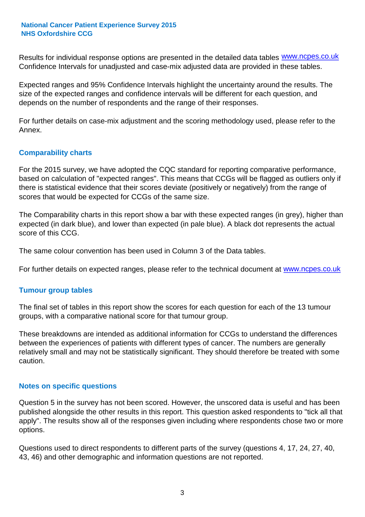Results for individual response options are presented in the detailed data tables **WWW.ncpes.co.uk** Confidence Intervals for unadjusted and case-mix adjusted data are provided in these tables.

Expected ranges and 95% Confidence Intervals highlight the uncertainty around the results. The size of the expected ranges and confidence intervals will be different for each question, and depends on the number of respondents and the range of their responses.

For further details on case-mix adjustment and the scoring methodology used, please refer to the Annex.

#### **Comparability charts**

For the 2015 survey, we have adopted the CQC standard for reporting comparative performance, based on calculation of "expected ranges". This means that CCGs will be flagged as outliers only if there is statistical evidence that their scores deviate (positively or negatively) from the range of scores that would be expected for CCGs of the same size.

The Comparability charts in this report show a bar with these expected ranges (in grey), higher than expected (in dark blue), and lower than expected (in pale blue). A black dot represents the actual score of this CCG.

The same colour convention has been used in Column 3 of the Data tables.

For further details on expected ranges, please refer to the technical document at **www.ncpes.co.uk** 

#### **Tumour group tables**

The final set of tables in this report show the scores for each question for each of the 13 tumour groups, with a comparative national score for that tumour group.

These breakdowns are intended as additional information for CCGs to understand the differences between the experiences of patients with different types of cancer. The numbers are generally relatively small and may not be statistically significant. They should therefore be treated with some caution.

#### **Notes on specific questions**

Question 5 in the survey has not been scored. However, the unscored data is useful and has been published alongside the other results in this report. This question asked respondents to "tick all that apply". The results show all of the responses given including where respondents chose two or more options.

Questions used to direct respondents to different parts of the survey (questions 4, 17, 24, 27, 40, 43, 46) and other demographic and information questions are not reported.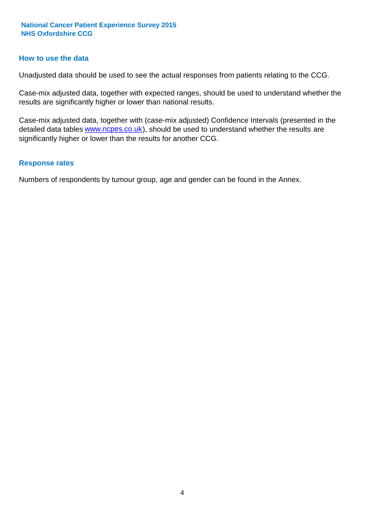#### **How to use the data**

Unadjusted data should be used to see the actual responses from patients relating to the CCG.

Case-mix adjusted data, together with expected ranges, should be used to understand whether the results are significantly higher or lower than national results.

Case-mix adjusted data, together with (case-mix adjusted) Confidence Intervals (presented in the detailed data tables **www.ncpes.co.uk**), should be used to understand whether the results are significantly higher or lower than the results for another CCG.

#### **Response rates**

Numbers of respondents by tumour group, age and gender can be found in the Annex.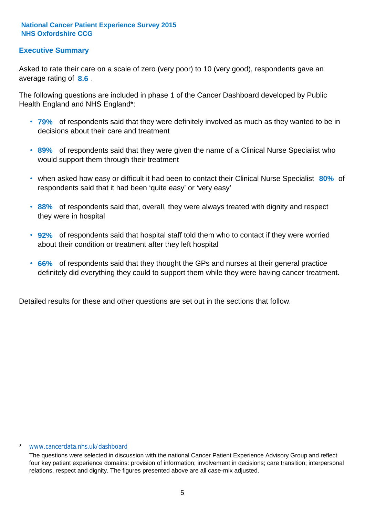### **Executive Summary**

average rating of 8.6. Asked to rate their care on a scale of zero (very poor) to 10 (very good), respondents gave an

The following questions are included in phase 1 of the Cancer Dashboard developed by Public Health England and NHS England\*:

- **79%** of respondents said that they were definitely involved as much as they wanted to be in decisions about their care and treatment
- **89%** of respondents said that they were given the name of a Clinical Nurse Specialist who would support them through their treatment
- when asked how easy or difficult it had been to contact their Clinical Nurse Specialist 80% of respondents said that it had been 'quite easy' or 'very easy'
- **88%** of respondents said that, overall, they were always treated with dignity and respect they were in hospital
- **92%** of respondents said that hospital staff told them who to contact if they were worried about their condition or treatment after they left hospital
- **66%** of respondents said that they thought the GPs and nurses at their general practice definitely did everything they could to support them while they were having cancer treatment.

Detailed results for these and other questions are set out in the sections that follow.

#### www.cancerdata.nhs.uk/dashboard

The questions were selected in discussion with the national Cancer Patient Experience Advisory Group and reflect four key patient experience domains: provision of information; involvement in decisions; care transition; interpersonal relations, respect and dignity. The figures presented above are all case-mix adjusted.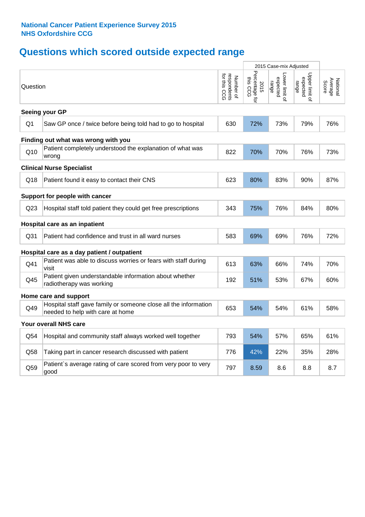# **Questions which scored outside expected range**

|                 |                                                                                                     |                                                      | 2015 Case-mix Adjusted             |                                     |                                     |                              |
|-----------------|-----------------------------------------------------------------------------------------------------|------------------------------------------------------|------------------------------------|-------------------------------------|-------------------------------------|------------------------------|
| Question        |                                                                                                     | for this<br>respondents<br>for this CCG<br>Number of | Percentage for<br>this CCG<br>2015 | Lower limit of<br>expected<br>range | Upper limit of<br>expected<br>range | Average<br>Score<br>National |
|                 | Seeing your GP                                                                                      |                                                      |                                    |                                     |                                     |                              |
| Q <sub>1</sub>  | Saw GP once / twice before being told had to go to hospital                                         | 630                                                  | 72%                                | 73%                                 | 79%                                 | 76%                          |
|                 | Finding out what was wrong with you                                                                 |                                                      |                                    |                                     |                                     |                              |
| Q10             | Patient completely understood the explanation of what was<br>wrong                                  | 822                                                  | 70%                                | 70%                                 | 76%                                 | 73%                          |
|                 | <b>Clinical Nurse Specialist</b>                                                                    |                                                      |                                    |                                     |                                     |                              |
| Q18             | Patient found it easy to contact their CNS                                                          | 623                                                  | 80%                                | 83%                                 | 90%                                 | 87%                          |
|                 | Support for people with cancer                                                                      |                                                      |                                    |                                     |                                     |                              |
| Q <sub>23</sub> | Hospital staff told patient they could get free prescriptions                                       | 343                                                  | 75%                                | 76%                                 | 84%                                 | 80%                          |
|                 | Hospital care as an inpatient                                                                       |                                                      |                                    |                                     |                                     |                              |
| Q31             | Patient had confidence and trust in all ward nurses                                                 | 583                                                  | 69%                                | 69%                                 | 76%                                 | 72%                          |
|                 | Hospital care as a day patient / outpatient                                                         |                                                      |                                    |                                     |                                     |                              |
| Q41             | Patient was able to discuss worries or fears with staff during<br>visit                             | 613                                                  | 63%                                | 66%                                 | 74%                                 | 70%                          |
| Q45             | Patient given understandable information about whether<br>radiotherapy was working                  | 192                                                  | 51%                                | 53%                                 | 67%                                 | 60%                          |
|                 | Home care and support                                                                               |                                                      |                                    |                                     |                                     |                              |
| Q49             | Hospital staff gave family or someone close all the information<br>needed to help with care at home | 653                                                  | 54%                                | 54%                                 | 61%                                 | 58%                          |
|                 | Your overall NHS care                                                                               |                                                      |                                    |                                     |                                     |                              |
| Q54             | Hospital and community staff always worked well together                                            | 793                                                  | 54%                                | 57%                                 | 65%                                 | 61%                          |
| Q58             | Taking part in cancer research discussed with patient                                               | 776                                                  | 42%                                | 22%                                 | 35%                                 | 28%                          |
| Q59             | Patient's average rating of care scored from very poor to very<br>good                              | 797                                                  | 8.59                               | 8.6                                 | 8.8                                 | 8.7                          |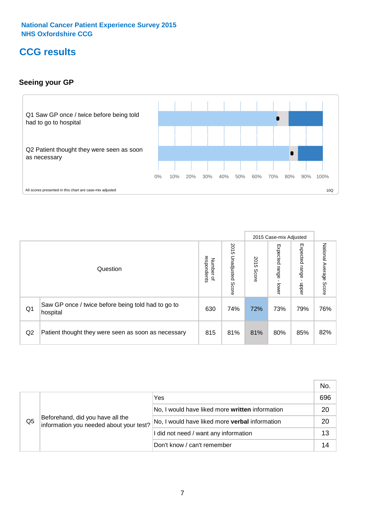## **CCG results**

### **Seeing your GP**



|    |                                                                |                                                     |                             |               | 2015 Case-mix Adjusted     |                            |                           |
|----|----------------------------------------------------------------|-----------------------------------------------------|-----------------------------|---------------|----------------------------|----------------------------|---------------------------|
|    | Question                                                       | respondents<br><b>Number</b><br>$\overline{\sigma}$ | 2015<br>Unadjusted<br>Score | 2015<br>Score | Expected<br>range<br>lower | Expected<br>range<br>nbber | National Average<br>Score |
| Q1 | Saw GP once / twice before being told had to go to<br>hospital | 630                                                 | 74%                         | 72%           | 73%                        | 79%                        | 76%                       |
| Q2 | Patient thought they were seen as soon as necessary            | 815                                                 | 81%                         | 81%           | 80%                        | 85%                        | 82%                       |

|    |                                                                             |                                                 | No. |
|----|-----------------------------------------------------------------------------|-------------------------------------------------|-----|
|    | Beforehand, did you have all the<br>information you needed about your test? | Yes                                             | 696 |
|    |                                                                             | No, I would have liked more written information | 20  |
| Q5 |                                                                             | No, I would have liked more verbal information  | 20  |
|    |                                                                             | I did not need / want any information           | 13  |
|    |                                                                             | Don't know / can't remember                     |     |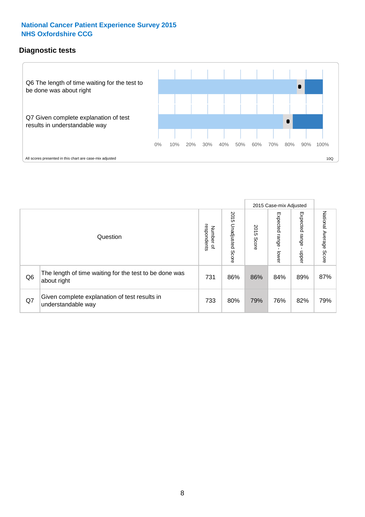## **Diagnostic tests**



|                |                                                                       |                                       |                             |               | 2015 Case-mix Adjusted  |                         |                           |
|----------------|-----------------------------------------------------------------------|---------------------------------------|-----------------------------|---------------|-------------------------|-------------------------|---------------------------|
|                | Question                                                              | respondents<br>Number<br>$\mathbf{Q}$ | 2015<br>Unadjusted<br>Score | 2015<br>Score | Expected range<br>lower | Expected range<br>nbber | National Average<br>Score |
| Q <sub>6</sub> | The length of time waiting for the test to be done was<br>about right | 731                                   | 86%                         | 86%           | 84%                     | 89%                     | 87%                       |
| Q7             | Given complete explanation of test results in<br>understandable way   | 733                                   | 80%                         | 79%           | 76%                     | 82%                     | 79%                       |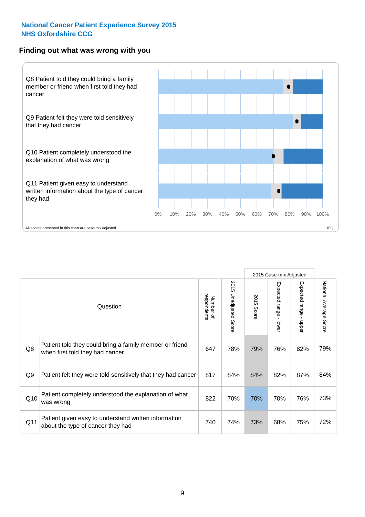#### **Finding out what was wrong with you**



| Question                                                                                   | Number of<br>respondents | 2015 Unadjusted Score | 2015<br>Score | Expected range - lower | Expected range<br>nbber | National Average<br>Score |
|--------------------------------------------------------------------------------------------|--------------------------|-----------------------|---------------|------------------------|-------------------------|---------------------------|
| Patient told they could bring a family member or friend<br>when first told they had cancer | 647                      | 78%                   | 79%           | 76%                    | 82%                     | 79%                       |
| Patient felt they were told sensitively that they had cancer                               | 817                      | 84%                   | 84%           | 82%                    | 87%                     | 84%                       |
| Patient completely understood the explanation of what<br>was wrong                         | 822                      | 70%                   | 70%           | 70%                    | 76%                     | 73%                       |
|                                                                                            |                          |                       |               |                        |                         | 2015 Case-mix Adjusted    |

Patient given easy to understand written information

73%

Q11 about the type of cancer they had<br>about the type of cancer they had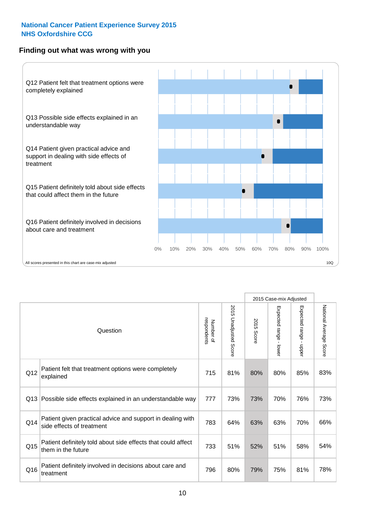### **Finding out what was wrong with you**



|          |                                                                                         |                          |                       |               | 2015 Case-mix Adjusted                  |                           |                        |
|----------|-----------------------------------------------------------------------------------------|--------------------------|-----------------------|---------------|-----------------------------------------|---------------------------|------------------------|
| Question |                                                                                         | respondents<br>Number of | 2015 Unadjusted Score | 2015<br>Score | Expected range<br>$\mathbf{r}$<br>lower | Expected range -<br>nbber | National Average Score |
| Q12      | Patient felt that treatment options were completely<br>explained                        | 715                      | 81%                   | 80%           | 80%                                     | 85%                       | 83%                    |
| Q13      | Possible side effects explained in an understandable way                                | 777                      | 73%                   | 73%           | 70%                                     | 76%                       | 73%                    |
| Q14      | Patient given practical advice and support in dealing with<br>side effects of treatment | 783                      | 64%                   | 63%           | 63%                                     | 70%                       | 66%                    |
| Q15      | Patient definitely told about side effects that could affect<br>them in the future      | 733                      | 51%                   | 52%           | 51%                                     | 58%                       | 54%                    |
| Q16      | Patient definitely involved in decisions about care and<br>treatment                    | 796                      | 80%                   | 79%           | 75%                                     | 81%                       | 78%                    |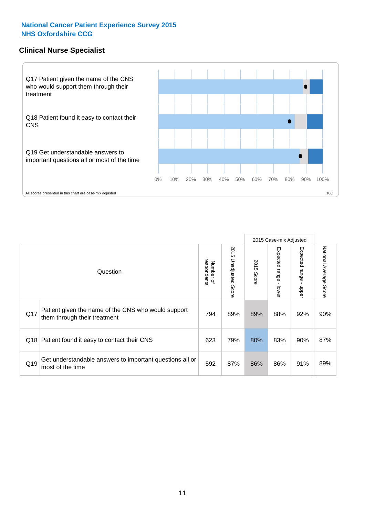#### **Clinical Nurse Specialist**



|     |                                                                                     |                          |                       |               | 2015 Case-mix Adjusted  |                         |                        |
|-----|-------------------------------------------------------------------------------------|--------------------------|-----------------------|---------------|-------------------------|-------------------------|------------------------|
|     | Question                                                                            | respondents<br>Number of | 2015 Unadjusted Score | 2015<br>Score | Expected range<br>lower | Expected range<br>nbber | National Average Score |
| Q17 | Patient given the name of the CNS who would support<br>them through their treatment | 794                      | 89%                   | 89%           | 88%                     | 92%                     | 90%                    |
|     | Q18 Patient found it easy to contact their CNS                                      | 623                      | 79%                   | 80%           | 83%                     | 90%                     | 87%                    |
| Q19 | Get understandable answers to important questions all or<br>most of the time        | 592                      | 87%                   | 86%           | 86%                     | 91%                     | 89%                    |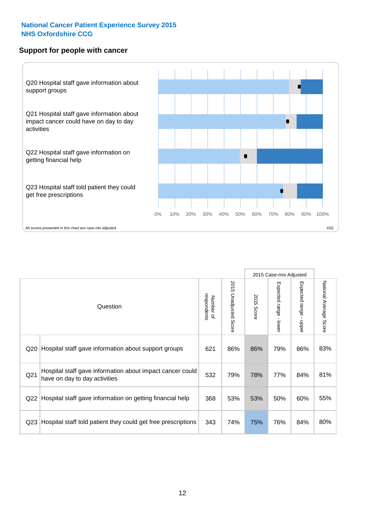#### **Support for people with cancer**



|                 |                                                                                            |                          |                       |            | 2015 Case-mix Adjusted |                                           |                        |
|-----------------|--------------------------------------------------------------------------------------------|--------------------------|-----------------------|------------|------------------------|-------------------------------------------|------------------------|
|                 | Question                                                                                   | respondents<br>Number of | 2015 Unadjusted Score | 2015 Score | Expected range - lower | Expected range<br>$\blacksquare$<br>nbber | National Average Score |
| Q <sub>20</sub> | Hospital staff gave information about support groups                                       | 621                      | 86%                   | 86%        | 79%                    | 86%                                       | 83%                    |
| Q <sub>21</sub> | Hospital staff gave information about impact cancer could<br>have on day to day activities | 532                      | 79%                   | 78%        | 77%                    | 84%                                       | 81%                    |
| Q <sub>22</sub> | Hospital staff gave information on getting financial help                                  | 368                      | 53%                   | 53%        | 50%                    | 60%                                       | 55%                    |
| Q <sub>23</sub> | Hospital staff told patient they could get free prescriptions                              | 343                      | 74%                   | 75%        | 76%                    | 84%                                       | 80%                    |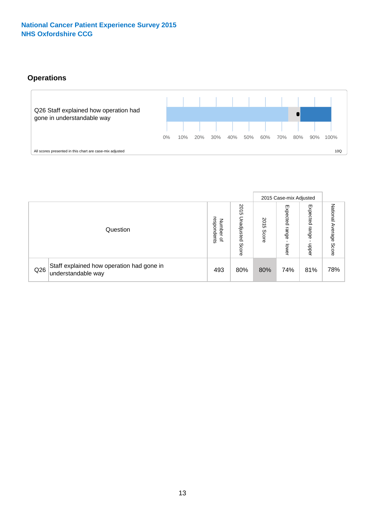## **Operations**



|     |                                                                 |                                         |                             |               | 2015 Case-mix Adjusted     |                           |                              |
|-----|-----------------------------------------------------------------|-----------------------------------------|-----------------------------|---------------|----------------------------|---------------------------|------------------------------|
|     | Question                                                        | respondents<br>Number<br>$\overline{a}$ | 2015<br>Unadjusted<br>Score | 2015<br>Score | Expected<br>range<br>lower | Expected<br>range<br>ddoe | National<br>Average<br>Score |
| Q26 | Staff explained how operation had gone in<br>understandable way | 493                                     | 80%                         | 80%           | 74%                        | 81%                       | 78%                          |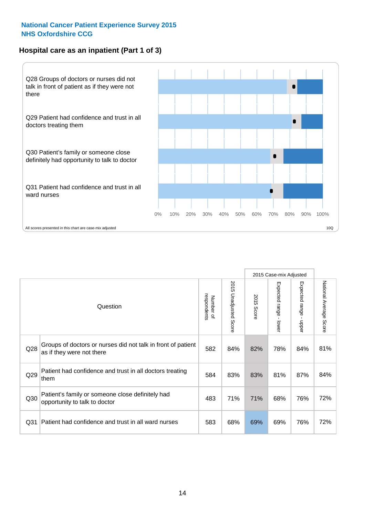### **Hospital care as an inpatient (Part 1 of 3)**



All scores presented in this chart are case-mix adjusted  $10Q$ 

|                 |                                                                                           |                          |                       |                      | 2015 Case-mix Adjusted                    |                                         |                        |
|-----------------|-------------------------------------------------------------------------------------------|--------------------------|-----------------------|----------------------|-------------------------------------------|-----------------------------------------|------------------------|
|                 | Question                                                                                  | respondents<br>Number of | 2015 Unadjusted Score | 2015<br><b>Score</b> | Expected range<br>$\blacksquare$<br>lower | Expected range<br>$\mathbf{I}$<br>nbber | National Average Score |
| Q28             | Groups of doctors or nurses did not talk in front of patient<br>as if they were not there | 582                      | 84%                   | 82%                  | 78%                                       | 84%                                     | 81%                    |
| Q29             | Patient had confidence and trust in all doctors treating<br>them                          | 584                      | 83%                   | 83%                  | 81%                                       | 87%                                     | 84%                    |
| Q30             | Patient's family or someone close definitely had<br>opportunity to talk to doctor         | 483                      | 71%                   | 71%                  | 68%                                       | 76%                                     | 72%                    |
| Q <sub>31</sub> | Patient had confidence and trust in all ward nurses                                       | 583                      | 68%                   | 69%                  | 69%                                       | 76%                                     | 72%                    |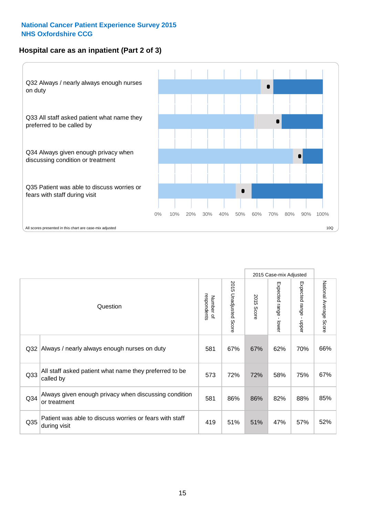### **Hospital care as an inpatient (Part 2 of 3)**



|                 |                                                                         |                          |                             |               | 2015 Case-mix Adjusted |                                           |                           |
|-----------------|-------------------------------------------------------------------------|--------------------------|-----------------------------|---------------|------------------------|-------------------------------------------|---------------------------|
|                 | Question                                                                | respondents<br>Number of | 2015<br>Unadjusted<br>Score | 2015<br>Score | Expected range - lower | Expected range<br>$\blacksquare$<br>hbber | National Average<br>Score |
| Q32             | Always / nearly always enough nurses on duty                            | 581                      | 67%                         | 67%           | 62%                    | 70%                                       | 66%                       |
| Q33             | All staff asked patient what name they preferred to be<br>called by     | 573                      | 72%                         | 72%           | 58%                    | 75%                                       | 67%                       |
| Q <sub>34</sub> | Always given enough privacy when discussing condition<br>or treatment   | 581                      | 86%                         | 86%           | 82%                    | 88%                                       | 85%                       |
| Q35             | Patient was able to discuss worries or fears with staff<br>during visit | 419                      | 51%                         | 51%           | 47%                    | 57%                                       | 52%                       |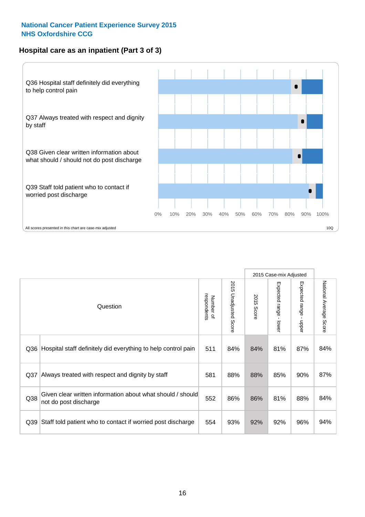### **Hospital care as an inpatient (Part 3 of 3)**



|                 |                                                                                     |                          |                                 |               | 2015 Case-mix Adjusted                    |                           |                        |
|-----------------|-------------------------------------------------------------------------------------|--------------------------|---------------------------------|---------------|-------------------------------------------|---------------------------|------------------------|
|                 | Question                                                                            | Number of<br>respondents | 2015<br><b>Unadjusted Score</b> | 2015<br>Score | Expected range<br>$\blacksquare$<br>lower | Expected range -<br>nbber | National Average Score |
| Q36             | Hospital staff definitely did everything to help control pain                       | 511                      | 84%                             | 84%           | 81%                                       | 87%                       | 84%                    |
| Q <sub>37</sub> | Always treated with respect and dignity by staff                                    | 581                      | 88%                             | 88%           | 85%                                       | 90%                       | 87%                    |
| Q38             | Given clear written information about what should / should<br>not do post discharge | 552                      | 86%                             | 86%           | 81%                                       | 88%                       | 84%                    |
| Q39             | Staff told patient who to contact if worried post discharge                         | 554                      | 93%                             | 92%           | 92%                                       | 96%                       | 94%                    |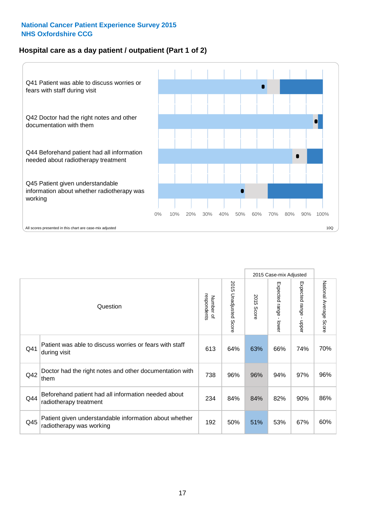### **Hospital care as a day patient / outpatient (Part 1 of 2)**



|     |                                                                                    |                          |                                 |                      | 2015 Case-mix Adjusted                  |                                         |                        |
|-----|------------------------------------------------------------------------------------|--------------------------|---------------------------------|----------------------|-----------------------------------------|-----------------------------------------|------------------------|
|     | Question                                                                           | respondents<br>Number of | 2015<br><b>Unadjusted Score</b> | 2015<br><b>Score</b> | Expected range<br>$\mathbf{r}$<br>lower | Expected range<br>$\mathbf{I}$<br>nbber | National Average Score |
| Q41 | Patient was able to discuss worries or fears with staff<br>during visit            | 613                      | 64%                             | 63%                  | 66%                                     | 74%                                     | 70%                    |
| Q42 | Doctor had the right notes and other documentation with<br>them                    | 738                      | 96%                             | 96%                  | 94%                                     | 97%                                     | 96%                    |
| Q44 | Beforehand patient had all information needed about<br>radiotherapy treatment      | 234                      | 84%                             | 84%                  | 82%                                     | 90%                                     | 86%                    |
| Q45 | Patient given understandable information about whether<br>radiotherapy was working | 192                      | 50%                             | 51%                  | 53%                                     | 67%                                     | 60%                    |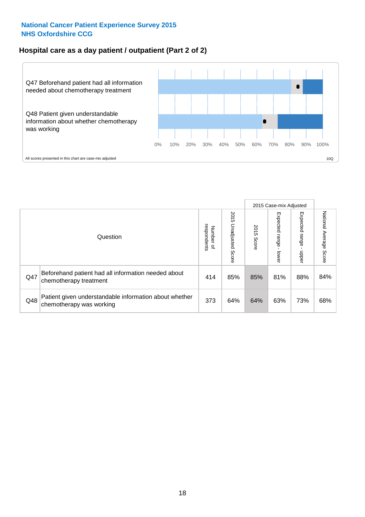### **Hospital care as a day patient / outpatient (Part 2 of 2)**



|     |                                                                                    |                                   |                             |               | 2015 Case-mix Adjusted  |                         |                           |
|-----|------------------------------------------------------------------------------------|-----------------------------------|-----------------------------|---------------|-------------------------|-------------------------|---------------------------|
|     | Question                                                                           | respondents<br>Number<br>$\Omega$ | 2015<br>Unadjusted<br>Score | 2015<br>Score | Expected range<br>lower | Expected range<br>doper | National Average<br>Score |
| Q47 | Beforehand patient had all information needed about<br>chemotherapy treatment      | 414                               | 85%                         | 85%           | 81%                     | 88%                     | 84%                       |
| Q48 | Patient given understandable information about whether<br>chemotherapy was working | 373                               | 64%                         | 64%           | 63%                     | 73%                     | 68%                       |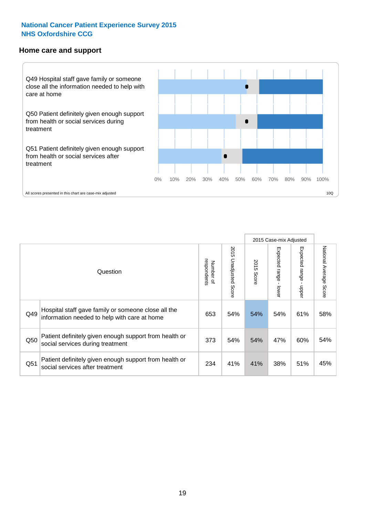#### **Home care and support**



2015 Case-mix Adjusted 2015 Unadjusted Score Expected range - upper National Average Score 2015 Unadjusted Score Expected range - lower National Average Score Expected range - lower Expected range - upper Number of<br>respondents respondents 2015 Score 2015 Score Number of Question Hospital staff gave family or someone close all the  $Q49$  information needed to help with care at home  $Q49$  54% 54% 54% 61% 58% Patient definitely given enough support from health or  $\frac{1}{250}$  social services during treatment  $\frac{373}{373}$  54% 54% 47% 60% 54% Patient definitely given enough support from health or  $\frac{38}{100}$  social services after treatment  $\frac{38}{100}$  and  $\frac{38}{100}$  and  $\frac{45}{100}$  and  $\frac{45}{100}$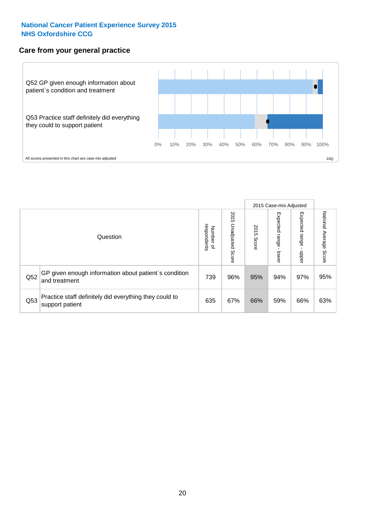#### **Care from your general practice**



|     |                                                                           |                                       |                             |               | 2015 Case-mix Adjusted  |                         |                           |
|-----|---------------------------------------------------------------------------|---------------------------------------|-----------------------------|---------------|-------------------------|-------------------------|---------------------------|
|     | Question                                                                  | respondents<br>Number<br>$\mathbf{Q}$ | 2015<br>Unadjusted<br>Score | 2015<br>Score | Expected range<br>lower | Expected range<br>nbber | National Average<br>Score |
| Q52 | GP given enough information about patient's condition<br>and treatment    | 739                                   | 96%                         | 95%           | 94%                     | 97%                     | 95%                       |
| Q53 | Practice staff definitely did everything they could to<br>support patient | 635                                   | 67%                         | 66%           | 59%                     | 66%                     | 63%                       |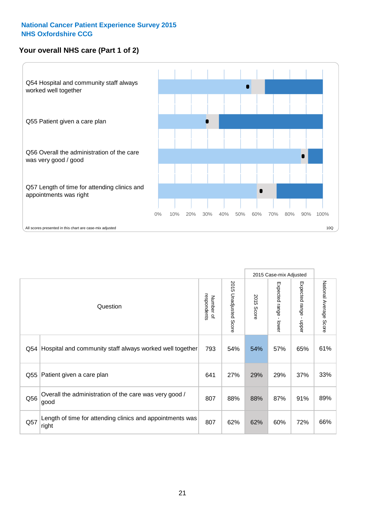## **Your overall NHS care (Part 1 of 2)**



|     |                                                                    |                          | 2015 Case-mix Adjusted          |               |                                           |                                           |                        |
|-----|--------------------------------------------------------------------|--------------------------|---------------------------------|---------------|-------------------------------------------|-------------------------------------------|------------------------|
|     | Question                                                           | respondents<br>Number of | 2015<br><b>Unadjusted Score</b> | 2015<br>Score | Expected range<br>$\blacksquare$<br>lower | Expected range<br>$\blacksquare$<br>nbber | National Average Score |
| Q54 | Hospital and community staff always worked well together           | 793                      | 54%                             | 54%           | 57%                                       | 65%                                       | 61%                    |
| Q55 | Patient given a care plan                                          | 641                      | 27%                             | 29%           | 29%                                       | 37%                                       | 33%                    |
| Q56 | Overall the administration of the care was very good /<br>good     | 807                      | 88%                             | 88%           | 87%                                       | 91%                                       | 89%                    |
| Q57 | Length of time for attending clinics and appointments was<br>right | 807                      | 62%                             | 62%           | 60%                                       | 72%                                       | 66%                    |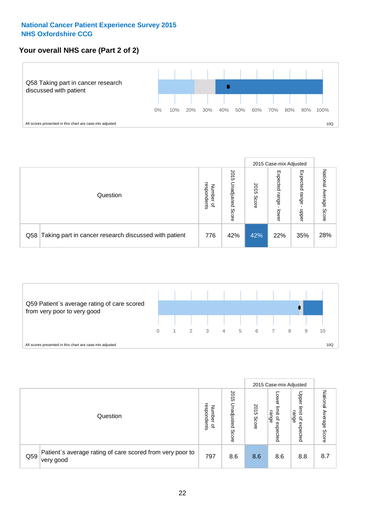### **Your overall NHS care (Part 2 of 2)**



|     |                                                       |                                   |                             |               |                            | 2015 Case-mix Adjusted     |                        |
|-----|-------------------------------------------------------|-----------------------------------|-----------------------------|---------------|----------------------------|----------------------------|------------------------|
|     | Question                                              | respondents<br>Number<br>$\Omega$ | 2015<br>Unadjusted<br>Score | 2015<br>Score | Expected<br>range<br>lower | Expected<br>range<br>nbber | National Average Score |
| Q58 | Taking part in cancer research discussed with patient | 776                               | 42%                         | 42%           | 22%                        | 35%                        | 28%                    |



|     |                                                                        |                                   |                             |               |                                                           | 2015 Case-mix Adjusted                                          |                              |
|-----|------------------------------------------------------------------------|-----------------------------------|-----------------------------|---------------|-----------------------------------------------------------|-----------------------------------------------------------------|------------------------------|
|     | Question                                                               | respondents<br>Number<br>$\Omega$ | 2015<br>Jnadjusted<br>Score | 2015<br>Score | OWer<br>limit<br>range<br>$\overline{\sigma}$<br>expected | Upper<br>limit<br>range<br>$\overline{\mathcal{C}}$<br>expected | National<br>Average<br>Score |
| Q59 | Patient's average rating of care scored from very poor to<br>very good | 797                               | 8.6                         | 8.6           | 8.6                                                       | 8.8                                                             | 8.7                          |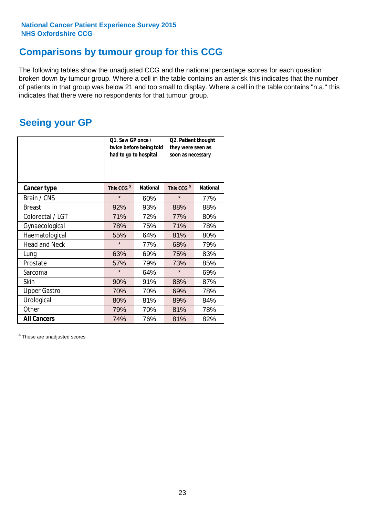## **Comparisons by tumour group for this CCG**

The following tables show the unadjusted CCG and the national percentage scores for each question broken down by tumour group. Where a cell in the table contains an asterisk this indicates that the number of patients in that group was below 21 and too small to display. Where a cell in the table contains "n.a." this indicates that there were no respondents for that tumour group.

## **Seeing your GP**

|                      | Q1. Saw GP once /<br>had to go to hospital | twice before being told | Q2. Patient thought<br>they were seen as<br>soon as necessary |                 |  |
|----------------------|--------------------------------------------|-------------------------|---------------------------------------------------------------|-----------------|--|
| <b>Cancer type</b>   | This CCG <sup>\$</sup>                     | <b>National</b>         | This CCG <sup>\$</sup>                                        | <b>National</b> |  |
| Brain / CNS          | $\star$                                    | 60%                     | $\star$                                                       | 77%             |  |
| <b>Breast</b>        | 92%                                        | 93%                     | 88%                                                           | 88%             |  |
| Colorectal / LGT     | 71%                                        | 72%                     | 77%                                                           | 80%             |  |
| Gynaecological       | 78%                                        | 75%                     | 71%                                                           | 78%             |  |
| Haematological       | 55%                                        | 64%                     | 81%                                                           | 80%             |  |
| <b>Head and Neck</b> | $\star$                                    | 77%                     | 68%                                                           | 79%             |  |
| Lung                 | 63%                                        | 69%                     | 75%                                                           | 83%             |  |
| Prostate             | 57%                                        | 79%                     | 73%                                                           | 85%             |  |
| Sarcoma              | $\star$                                    | 64%                     | $\star$                                                       | 69%             |  |
| Skin                 | 90%                                        | 91%                     | 88%                                                           | 87%             |  |
| <b>Upper Gastro</b>  | 70%                                        | 70%                     | 69%                                                           | 78%             |  |
| Urological           | 80%                                        | 81%                     | 89%                                                           | 84%             |  |
| Other                | 79%                                        | 70%                     | 81%                                                           | 78%             |  |
| <b>All Cancers</b>   | 74%                                        | 76%                     | 81%                                                           | 82%             |  |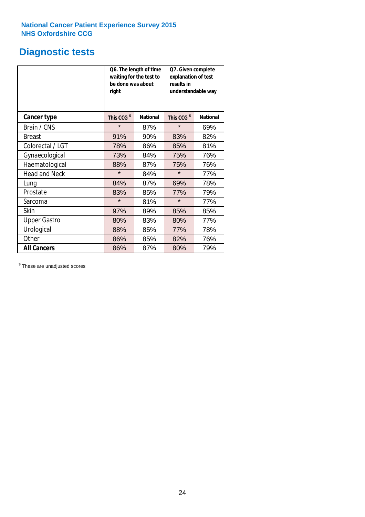## **Diagnostic tests**

|                      | be done was about<br>right | Q6. The length of time<br>waiting for the test to | Q7. Given complete<br>explanation of test<br>results in<br>understandable way |                 |  |  |
|----------------------|----------------------------|---------------------------------------------------|-------------------------------------------------------------------------------|-----------------|--|--|
| <b>Cancer type</b>   | This CCG <sup>\$</sup>     | <b>National</b>                                   | This CCG <sup>\$</sup>                                                        | <b>National</b> |  |  |
| Brain / CNS          | $\star$                    | 87%                                               | $\star$                                                                       | 69%             |  |  |
| <b>Breast</b>        | 91%                        | 90%                                               | 83%                                                                           | 82%             |  |  |
| Colorectal / LGT     | 78%                        | 86%                                               | 85%                                                                           | 81%             |  |  |
| Gynaecological       | 73%                        | 84%                                               | 75%                                                                           | 76%             |  |  |
| Haematological       | 88%                        | 87%                                               | 75%                                                                           | 76%             |  |  |
| <b>Head and Neck</b> | $\star$                    | 84%                                               | $\star$                                                                       | 77%             |  |  |
| Lung                 | 84%                        | 87%                                               | 69%                                                                           | 78%             |  |  |
| Prostate             | 83%                        | 85%                                               | 77%                                                                           | 79%             |  |  |
| Sarcoma              | $\star$                    | 81%                                               | $\star$                                                                       | 77%             |  |  |
| Skin                 | 97%                        | 89%                                               | 85%                                                                           | 85%             |  |  |
| <b>Upper Gastro</b>  | 80%                        | 83%                                               | 80%                                                                           | 77%             |  |  |
| Urological           | 88%                        | 85%                                               | 77%                                                                           | 78%             |  |  |
| Other                | 86%                        | 85%                                               | 82%                                                                           | 76%             |  |  |
| <b>All Cancers</b>   | 86%                        | 87%                                               | 80%                                                                           | 79%             |  |  |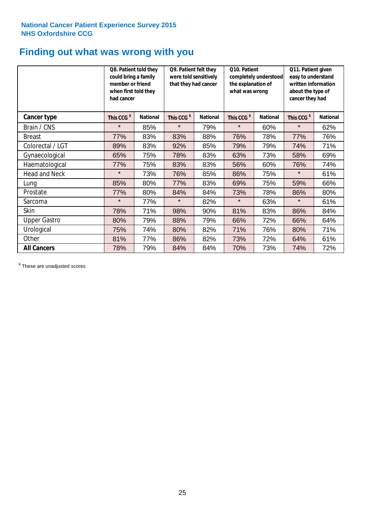## **Finding out what was wrong with you**

|                      | Q8. Patient told they<br>could bring a family<br>member or friend<br>when first told they<br>had cancer |                 | Q9. Patient felt they<br>were told sensitively<br>that they had cancer |                 | Q10. Patient<br>completely understood<br>the explanation of<br>what was wrong |                 | Q11. Patient given<br>easy to understand<br>written information<br>about the type of<br>cancer they had |                 |
|----------------------|---------------------------------------------------------------------------------------------------------|-----------------|------------------------------------------------------------------------|-----------------|-------------------------------------------------------------------------------|-----------------|---------------------------------------------------------------------------------------------------------|-----------------|
| <b>Cancer type</b>   | This CCG <sup>\$</sup>                                                                                  | <b>National</b> | This CCG <sup>\$</sup>                                                 | <b>National</b> | This CCG <sup>\$</sup>                                                        | <b>National</b> | This CCG <sup>\$</sup>                                                                                  | <b>National</b> |
| Brain / CNS          | $\star$                                                                                                 | 85%             | $\star$                                                                | 79%             | $\star$                                                                       | 60%             | $\star$                                                                                                 | 62%             |
| <b>Breast</b>        | 77%                                                                                                     | 83%             | 83%                                                                    | 88%             | 76%                                                                           | 78%             | 77%                                                                                                     | 76%             |
| Colorectal / LGT     | 89%                                                                                                     | 83%             | 92%                                                                    | 85%             | 79%                                                                           | 79%             | 74%                                                                                                     | 71%             |
| Gynaecological       | 65%                                                                                                     | 75%             | 78%                                                                    | 83%             | 63%                                                                           | 73%             | 58%                                                                                                     | 69%             |
| Haematological       | 77%                                                                                                     | 75%             | 83%                                                                    | 83%             | 56%                                                                           | 60%             | 76%                                                                                                     | 74%             |
| <b>Head and Neck</b> | $\star$                                                                                                 | 73%             | 76%                                                                    | 85%             | 86%                                                                           | 75%             | $\star$                                                                                                 | 61%             |
| Lung                 | 85%                                                                                                     | 80%             | 77%                                                                    | 83%             | 69%                                                                           | 75%             | 59%                                                                                                     | 66%             |
| Prostate             | 77%                                                                                                     | 80%             | 84%                                                                    | 84%             | 73%                                                                           | 78%             | 86%                                                                                                     | 80%             |
| Sarcoma              | $\star$                                                                                                 | 77%             | $\star$                                                                | 82%             | $\star$                                                                       | 63%             | $\star$                                                                                                 | 61%             |
| Skin                 | 78%                                                                                                     | 71%             | 98%                                                                    | 90%             | 81%                                                                           | 83%             | 86%                                                                                                     | 84%             |
| <b>Upper Gastro</b>  | 80%                                                                                                     | 79%             | 88%                                                                    | 79%             | 66%                                                                           | 72%             | 66%                                                                                                     | 64%             |
| Urological           | 75%                                                                                                     | 74%             | 80%                                                                    | 82%             | 71%                                                                           | 76%             | 80%                                                                                                     | 71%             |
| Other                | 81%                                                                                                     | 77%             | 86%                                                                    | 82%             | 73%                                                                           | 72%             | 64%                                                                                                     | 61%             |
| <b>All Cancers</b>   | 78%                                                                                                     | 79%             | 84%                                                                    | 84%             | 70%                                                                           | 73%             | 74%                                                                                                     | 72%             |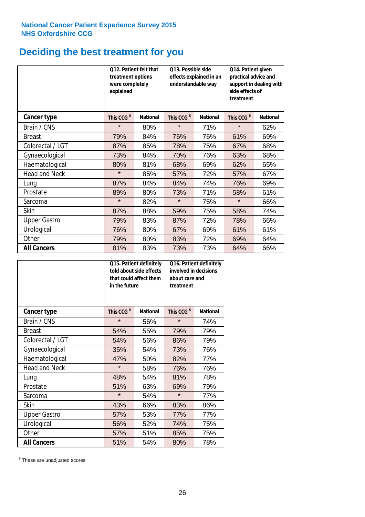# **Deciding the best treatment for you**

|                      | Q12. Patient felt that<br>treatment options<br>were completely<br>explained |                 | Q13. Possible side<br>understandable way | effects explained in an | Q14. Patient given<br>practical advice and<br>support in dealing with<br>side effects of<br>treatment |                 |  |
|----------------------|-----------------------------------------------------------------------------|-----------------|------------------------------------------|-------------------------|-------------------------------------------------------------------------------------------------------|-----------------|--|
| <b>Cancer type</b>   | This CCG <sup>\$</sup>                                                      | <b>National</b> | This CCG <sup>\$</sup>                   | <b>National</b>         | This CCG <sup>\$</sup>                                                                                | <b>National</b> |  |
| Brain / CNS          | $\star$                                                                     | 80%             | $\star$                                  | 71%                     | $\star$                                                                                               | 62%             |  |
| <b>Breast</b>        | 79%                                                                         | 84%             | 76%                                      | 76%                     | 61%                                                                                                   | 69%             |  |
| Colorectal / LGT     | 87%                                                                         | 85%             | 78%                                      | 75%                     | 67%                                                                                                   | 68%             |  |
| Gynaecological       | 73%                                                                         | 84%             | 70%                                      | 76%                     | 63%                                                                                                   | 68%             |  |
| Haematological       | 80%                                                                         | 81%             | 68%                                      | 69%                     | 62%                                                                                                   | 65%             |  |
| <b>Head and Neck</b> | $\star$                                                                     | 85%             | 57%                                      | 72%                     | 57%                                                                                                   | 67%             |  |
| Lung                 | 87%                                                                         | 84%             | 84%                                      | 74%                     | 76%                                                                                                   | 69%             |  |
| Prostate             | 89%                                                                         | 80%             | 73%                                      | 71%                     | 58%                                                                                                   | 61%             |  |
| Sarcoma              | $\star$                                                                     | 82%             | $\star$                                  | 75%                     | $\star$                                                                                               | 66%             |  |
| Skin                 | 87%                                                                         | 88%             | 59%                                      | 75%                     | 58%                                                                                                   | 74%             |  |
| <b>Upper Gastro</b>  | 79%                                                                         | 83%             | 87%                                      | 72%                     | 78%                                                                                                   | 66%             |  |
| Urological           | 76%                                                                         | 80%             | 67%                                      | 69%                     | 61%                                                                                                   | 61%             |  |
| Other                | 79%                                                                         | 80%             | 83%                                      | 72%                     | 69%                                                                                                   | 64%             |  |
| <b>All Cancers</b>   | 81%                                                                         | 83%             | 73%                                      | 73%                     | 64%                                                                                                   | 66%             |  |

|                      | in the future          | Q15. Patient definitely<br>told about side effects<br>that could affect them | Q16. Patient definitely<br>involved in decisions<br>about care and<br>treatment |                 |  |
|----------------------|------------------------|------------------------------------------------------------------------------|---------------------------------------------------------------------------------|-----------------|--|
| <b>Cancer type</b>   | This CCG <sup>\$</sup> | <b>National</b>                                                              | This CCG <sup>\$</sup>                                                          | <b>National</b> |  |
| Brain / CNS          | $\star$                | 56%                                                                          | $\star$                                                                         | 74%             |  |
| <b>Breast</b>        | 54%                    | 55%                                                                          | 79%                                                                             | 79%             |  |
| Colorectal / LGT     | 54%                    | 56%                                                                          | 86%                                                                             | 79%             |  |
| Gynaecological       | 35%                    | 54%                                                                          | 73%                                                                             | 76%             |  |
| Haematological       | 47%                    | 50%                                                                          | 82%                                                                             | 77%             |  |
| <b>Head and Neck</b> | $\star$                | 58%                                                                          | 76%                                                                             | 76%             |  |
| Lung                 | 48%                    | 54%                                                                          | 81%                                                                             | 78%             |  |
| Prostate             | 51%                    | 63%                                                                          | 69%                                                                             | 79%             |  |
| Sarcoma              | $\star$                | 54%                                                                          | $\star$                                                                         | 77%             |  |
| Skin                 | 43%                    | 66%                                                                          | 83%                                                                             | 86%             |  |
| <b>Upper Gastro</b>  | 57%                    | 53%                                                                          | 77%                                                                             | 77%             |  |
| Urological           | 56%                    | 52%                                                                          | 74%                                                                             | 75%             |  |
| Other                | 57%                    | 51%                                                                          | 85%                                                                             | 75%             |  |
| <b>All Cancers</b>   | 51%                    | 54%                                                                          | 80%                                                                             | 78%             |  |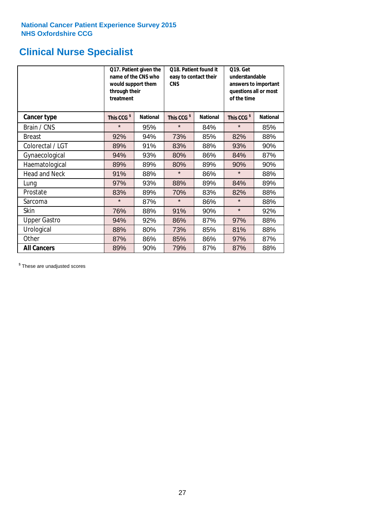## **Clinical Nurse Specialist**

|                      | would support them<br>through their<br>treatment | Q17. Patient given the<br>name of the CNS who | Q18. Patient found it<br>easy to contact their<br><b>CNS</b> |                 | <b>Q19. Get</b><br>understandable<br>answers to important<br>questions all or most<br>of the time |                 |  |
|----------------------|--------------------------------------------------|-----------------------------------------------|--------------------------------------------------------------|-----------------|---------------------------------------------------------------------------------------------------|-----------------|--|
| <b>Cancer type</b>   | This CCG <sup>\$</sup>                           | <b>National</b>                               | This CCG <sup>\$</sup>                                       | <b>National</b> | This CCG <sup>\$</sup>                                                                            | <b>National</b> |  |
| Brain / CNS          | $\star$                                          | 95%                                           | $\star$                                                      | 84%             | $\star$                                                                                           | 85%             |  |
| <b>Breast</b>        | 92%                                              | 94%                                           | 73%                                                          | 85%             | 82%                                                                                               | 88%             |  |
| Colorectal / LGT     | 89%                                              | 91%                                           | 83%                                                          | 88%             | 93%                                                                                               | 90%             |  |
| Gynaecological       | 94%                                              | 93%                                           | 80%                                                          | 86%             | 84%                                                                                               | 87%             |  |
| Haematological       | 89%                                              | 89%                                           | 80%                                                          | 89%             | 90%                                                                                               | 90%             |  |
| <b>Head and Neck</b> | 91%                                              | 88%                                           | $\star$                                                      | 86%             | $\star$                                                                                           | 88%             |  |
| Lung                 | 97%                                              | 93%                                           | 88%                                                          | 89%             | 84%                                                                                               | 89%             |  |
| Prostate             | 83%                                              | 89%                                           | 70%                                                          | 83%             | 82%                                                                                               | 88%             |  |
| Sarcoma              | $\star$                                          | 87%                                           | $\star$                                                      | 86%             | $\star$                                                                                           | 88%             |  |
| Skin                 | 76%                                              | 88%                                           | 91%                                                          | 90%             | $\star$                                                                                           | 92%             |  |
| <b>Upper Gastro</b>  | 94%                                              | 92%                                           | 86%                                                          | 87%             | 97%                                                                                               | 88%             |  |
| Urological           | 88%                                              | 80%                                           | 73%                                                          | 85%             | 81%                                                                                               | 88%             |  |
| Other                | 87%                                              | 86%                                           | 85%                                                          | 86%             | 97%                                                                                               | 87%             |  |
| <b>All Cancers</b>   | 89%                                              | 90%                                           | 79%                                                          | 87%             | 87%                                                                                               | 88%             |  |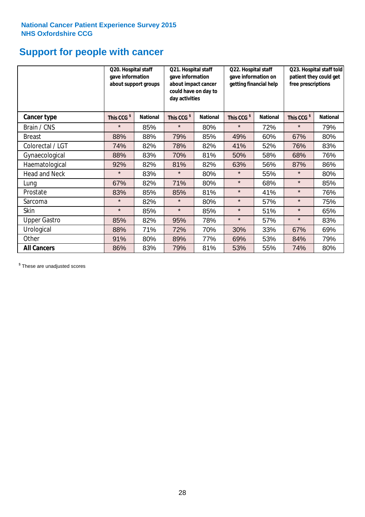## **Support for people with cancer**

|                      | Q20. Hospital staff<br>gave information | about support groups | Q21. Hospital staff<br>gave information<br>about impact cancer<br>could have on day to<br>day activities |                 | Q22. Hospital staff<br>gave information on<br>getting financial help |                 | Q23. Hospital staff told<br>patient they could get<br>free prescriptions |                 |
|----------------------|-----------------------------------------|----------------------|----------------------------------------------------------------------------------------------------------|-----------------|----------------------------------------------------------------------|-----------------|--------------------------------------------------------------------------|-----------------|
| Cancer type          | This CCG <sup>\$</sup>                  | <b>National</b>      | This CCG <sup>\$</sup>                                                                                   | <b>National</b> | This CCG <sup>\$</sup>                                               | <b>National</b> | This CCG <sup>\$</sup>                                                   | <b>National</b> |
| Brain / CNS          | $\star$                                 | 85%                  | $\star$                                                                                                  | 80%             | $\star$                                                              | 72%             | $\star$                                                                  | 79%             |
| <b>Breast</b>        | 88%                                     | 88%                  | 79%                                                                                                      | 85%             | 49%                                                                  | 60%             | 67%                                                                      | 80%             |
| Colorectal / LGT     | 74%                                     | 82%                  | 78%                                                                                                      | 82%             | 41%                                                                  | 52%             | 76%                                                                      | 83%             |
| Gynaecological       | 88%                                     | 83%                  | 70%                                                                                                      | 81%             | 50%                                                                  | 58%             | 68%                                                                      | 76%             |
| Haematological       | 92%                                     | 82%                  | 81%                                                                                                      | 82%             | 63%                                                                  | 56%             | 87%                                                                      | 86%             |
| <b>Head and Neck</b> | $\star$                                 | 83%                  | $\star$                                                                                                  | 80%             | $\star$                                                              | 55%             | $\star$                                                                  | 80%             |
| Lung                 | 67%                                     | 82%                  | 71%                                                                                                      | 80%             | $\star$                                                              | 68%             | $\star$                                                                  | 85%             |
| Prostate             | 83%                                     | 85%                  | 85%                                                                                                      | 81%             | $\star$                                                              | 41%             | $\star$                                                                  | 76%             |
| Sarcoma              | $\star$                                 | 82%                  | $\star$                                                                                                  | 80%             | $\star$                                                              | 57%             | $\star$                                                                  | 75%             |
| Skin                 | $\star$                                 | 85%                  | $\star$                                                                                                  | 85%             | $\star$                                                              | 51%             | $\star$                                                                  | 65%             |
| <b>Upper Gastro</b>  | 85%                                     | 82%                  | 95%                                                                                                      | 78%             | $\star$                                                              | 57%             | $\star$                                                                  | 83%             |
| Urological           | 88%                                     | 71%                  | 72%                                                                                                      | 70%             | 30%                                                                  | 33%             | 67%                                                                      | 69%             |
| Other                | 91%                                     | 80%                  | 89%                                                                                                      | 77%             | 69%                                                                  | 53%             | 84%                                                                      | 79%             |
| <b>All Cancers</b>   | 86%                                     | 83%                  | 79%                                                                                                      | 81%             | 53%                                                                  | 55%             | 74%                                                                      | 80%             |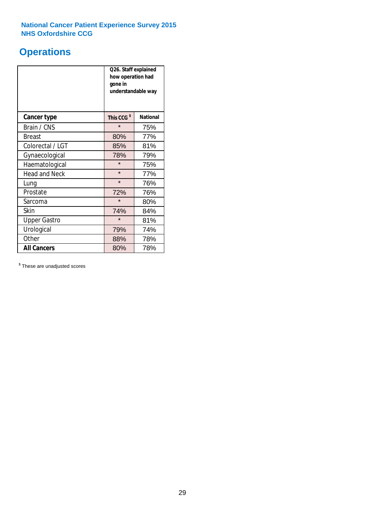## **Operations**

|                      | Q26. Staff explained<br>how operation had<br>gone in<br>understandable way |                 |  |  |
|----------------------|----------------------------------------------------------------------------|-----------------|--|--|
| <b>Cancer type</b>   | This CCG <sup>\$</sup>                                                     | <b>National</b> |  |  |
| Brain / CNS          | $\star$                                                                    | 75%             |  |  |
| <b>Breast</b>        | 80%                                                                        | 77%             |  |  |
| Colorectal / LGT     | 85%                                                                        | 81%             |  |  |
| Gynaecological       | 78%                                                                        | 79%             |  |  |
| Haematological       | $\star$                                                                    | 75%             |  |  |
| <b>Head and Neck</b> | $\star$                                                                    | 77%             |  |  |
| Lung                 | $\star$                                                                    | 76%             |  |  |
| Prostate             | 72%                                                                        | 76%             |  |  |
| Sarcoma              | $\star$                                                                    | 80%             |  |  |
| Skin                 | 74%                                                                        | 84%             |  |  |
| <b>Upper Gastro</b>  | $\star$                                                                    | 81%             |  |  |
| Urological           | 79%                                                                        | 74%             |  |  |
| Other                | 88%                                                                        | 78%             |  |  |
| <b>All Cancers</b>   | 80%                                                                        | 78%             |  |  |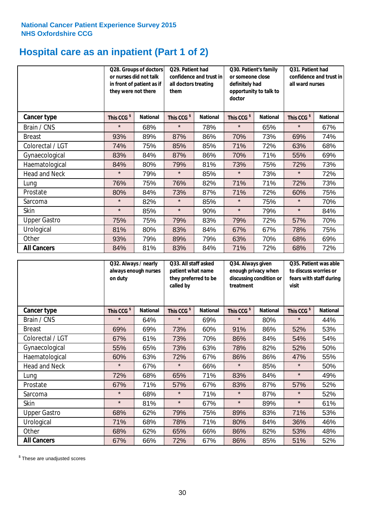## **Hospital care as an inpatient (Part 1 of 2)**

|                      | or nurses did not talk<br>they were not there | Q28. Groups of doctors<br>in front of patient as if | Q29. Patient had<br>confidence and trust in<br>all doctors treating<br>them |                 | Q30. Patient's family<br>or someone close<br>definitely had<br>opportunity to talk to<br>doctor |                 | Q31. Patient had<br>confidence and trust in I<br>all ward nurses |                 |
|----------------------|-----------------------------------------------|-----------------------------------------------------|-----------------------------------------------------------------------------|-----------------|-------------------------------------------------------------------------------------------------|-----------------|------------------------------------------------------------------|-----------------|
| Cancer type          | This CCG <sup>\$</sup>                        | <b>National</b>                                     | This CCG <sup>\$</sup>                                                      | <b>National</b> | This CCG <sup>\$</sup>                                                                          | <b>National</b> | This CCG <sup>\$</sup>                                           | <b>National</b> |
| Brain / CNS          | $\star$                                       | 68%                                                 | $\star$                                                                     | 78%             | $\star$                                                                                         | 65%             | $\star$                                                          | 67%             |
| <b>Breast</b>        | 93%                                           | 89%                                                 | 87%                                                                         | 86%             | 70%                                                                                             | 73%             | 69%                                                              | 74%             |
| Colorectal / LGT     | 74%                                           | 75%                                                 | 85%                                                                         | 85%             | 71%                                                                                             | 72%             | 63%                                                              | 68%             |
| Gynaecological       | 83%                                           | 84%                                                 | 87%                                                                         | 86%             | 70%                                                                                             | 71%             | 55%                                                              | 69%             |
| Haematological       | 84%                                           | 80%                                                 | 79%                                                                         | 81%             | 73%                                                                                             | 75%             | 72%                                                              | 73%             |
| <b>Head and Neck</b> | $\star$                                       | 79%                                                 | $\star$                                                                     | 85%             | $\star$                                                                                         | 73%             | $\star$                                                          | 72%             |
| Lung                 | 76%                                           | 75%                                                 | 76%                                                                         | 82%             | 71%                                                                                             | 71%             | 72%                                                              | 73%             |
| Prostate             | 80%                                           | 84%                                                 | 73%                                                                         | 87%             | 71%                                                                                             | 72%             | 60%                                                              | 75%             |
| Sarcoma              | $\star$                                       | 82%                                                 | $\star$                                                                     | 85%             | $\star$                                                                                         | 75%             | $\star$                                                          | 70%             |
| Skin                 | $\star$                                       | 85%                                                 | $\star$                                                                     | 90%             | $\star$                                                                                         | 79%             | $\star$                                                          | 84%             |
| <b>Upper Gastro</b>  | 75%                                           | 75%                                                 | 79%                                                                         | 83%             | 79%                                                                                             | 72%             | 57%                                                              | 70%             |
| Urological           | 81%                                           | 80%                                                 | 83%                                                                         | 84%             | 67%                                                                                             | 67%             | 78%                                                              | 75%             |
| Other                | 93%                                           | 79%                                                 | 89%                                                                         | 79%             | 63%                                                                                             | 70%             | 68%                                                              | 69%             |
| <b>All Cancers</b>   | 84%                                           | 81%                                                 | 83%                                                                         | 84%             | 71%                                                                                             | 72%             | 68%                                                              | 72%             |

|                      | on duty                | Q32. Always / nearly<br>always enough nurses |                        | Q33. All staff asked<br>patient what name<br>they preferred to be<br>called by |                        | Q34. Always given<br>enough privacy when<br>discussing condition or<br>treatment |                        | Q35. Patient was able<br>to discuss worries or<br>fears with staff during<br>visit |  |
|----------------------|------------------------|----------------------------------------------|------------------------|--------------------------------------------------------------------------------|------------------------|----------------------------------------------------------------------------------|------------------------|------------------------------------------------------------------------------------|--|
| <b>Cancer type</b>   | This CCG <sup>\$</sup> | <b>National</b>                              | This CCG <sup>\$</sup> | <b>National</b>                                                                | This CCG <sup>\$</sup> | <b>National</b>                                                                  | This CCG <sup>\$</sup> | <b>National</b>                                                                    |  |
| Brain / CNS          | $\star$                | 64%                                          | $\star$                | 69%                                                                            | $\star$                | 80%                                                                              | $\star$                | 44%                                                                                |  |
| <b>Breast</b>        | 69%                    | 69%                                          | 73%                    | 60%                                                                            | 91%                    | 86%                                                                              | 52%                    | 53%                                                                                |  |
| Colorectal / LGT     | 67%                    | 61%                                          | 73%                    | 70%                                                                            | 86%                    | 84%                                                                              | 54%                    | 54%                                                                                |  |
| Gynaecological       | 55%                    | 65%                                          | 73%                    | 63%                                                                            | 78%                    | 82%                                                                              | 52%                    | 50%                                                                                |  |
| Haematological       | 60%                    | 63%                                          | 72%                    | 67%                                                                            | 86%                    | 86%                                                                              | 47%                    | 55%                                                                                |  |
| <b>Head and Neck</b> | $\star$                | 67%                                          | $\star$                | 66%                                                                            | $\star$                | 85%                                                                              | $\star$                | 50%                                                                                |  |
| Lung                 | 72%                    | 68%                                          | 65%                    | 71%                                                                            | 83%                    | 84%                                                                              | $\star$                | 49%                                                                                |  |
| Prostate             | 67%                    | 71%                                          | 57%                    | 67%                                                                            | 83%                    | 87%                                                                              | 57%                    | 52%                                                                                |  |
| Sarcoma              | $\star$                | 68%                                          | $\star$                | 71%                                                                            | $\star$                | 87%                                                                              | $\star$                | 52%                                                                                |  |
| Skin                 | $\star$                | 81%                                          | $\star$                | 67%                                                                            | $\star$                | 89%                                                                              | $\star$                | 61%                                                                                |  |
| <b>Upper Gastro</b>  | 68%                    | 62%                                          | 79%                    | 75%                                                                            | 89%                    | 83%                                                                              | 71%                    | 53%                                                                                |  |
| Urological           | 71%                    | 68%                                          | 78%                    | 71%                                                                            | 80%                    | 84%                                                                              | 36%                    | 46%                                                                                |  |
| Other                | 68%                    | 62%                                          | 65%                    | 66%                                                                            | 86%                    | 82%                                                                              | 53%                    | 48%                                                                                |  |
| <b>All Cancers</b>   | 67%                    | 66%                                          | 72%                    | 67%                                                                            | 86%                    | 85%                                                                              | 51%                    | 52%                                                                                |  |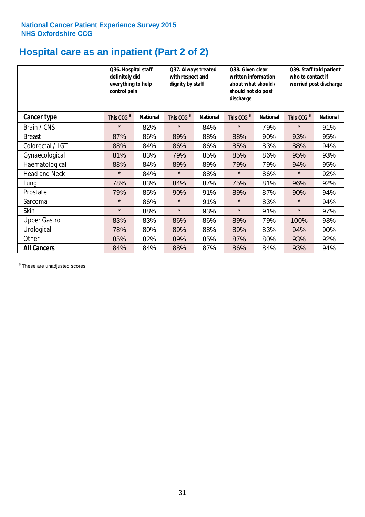## **Hospital care as an inpatient (Part 2 of 2)**

|                      | Q36. Hospital staff<br>definitely did<br>everything to help<br>control pain |                 | Q37. Always treated<br>with respect and<br>dignity by staff |                 | Q38. Given clear<br>written information<br>about what should /<br>should not do post<br>discharge |                 | Q39. Staff told patient<br>who to contact if<br>worried post discharge |                 |
|----------------------|-----------------------------------------------------------------------------|-----------------|-------------------------------------------------------------|-----------------|---------------------------------------------------------------------------------------------------|-----------------|------------------------------------------------------------------------|-----------------|
| <b>Cancer type</b>   | This CCG <sup>\$</sup>                                                      | <b>National</b> | This CCG <sup>\$</sup>                                      | <b>National</b> | This CCG <sup>\$</sup>                                                                            | <b>National</b> | This CCG <sup>\$</sup>                                                 | <b>National</b> |
| Brain / CNS          | $\star$                                                                     | 82%             | $\star$                                                     | 84%             | $\star$                                                                                           | 79%             | $\star$                                                                | 91%             |
| <b>Breast</b>        | 87%                                                                         | 86%             | 89%                                                         | 88%             | 88%                                                                                               | 90%             | 93%                                                                    | 95%             |
| Colorectal / LGT     | 88%                                                                         | 84%             | 86%                                                         | 86%             | 85%                                                                                               | 83%             | 88%                                                                    | 94%             |
| Gynaecological       | 81%                                                                         | 83%             | 79%                                                         | 85%             | 85%                                                                                               | 86%             | 95%                                                                    | 93%             |
| Haematological       | 88%                                                                         | 84%             | 89%                                                         | 89%             | 79%                                                                                               | 79%             | 94%                                                                    | 95%             |
| <b>Head and Neck</b> | $\star$                                                                     | 84%             | $\star$                                                     | 88%             | $\star$                                                                                           | 86%             | $\star$                                                                | 92%             |
| Lung                 | 78%                                                                         | 83%             | 84%                                                         | 87%             | 75%                                                                                               | 81%             | 96%                                                                    | 92%             |
| Prostate             | 79%                                                                         | 85%             | 90%                                                         | 91%             | 89%                                                                                               | 87%             | 90%                                                                    | 94%             |
| Sarcoma              | $\star$                                                                     | 86%             | $\star$                                                     | 91%             | $\star$                                                                                           | 83%             | $\star$                                                                | 94%             |
| Skin                 | $\star$                                                                     | 88%             | $\star$                                                     | 93%             | $\star$                                                                                           | 91%             | $\star$                                                                | 97%             |
| <b>Upper Gastro</b>  | 83%                                                                         | 83%             | 86%                                                         | 86%             | 89%                                                                                               | 79%             | 100%                                                                   | 93%             |
| Urological           | 78%                                                                         | 80%             | 89%                                                         | 88%             | 89%                                                                                               | 83%             | 94%                                                                    | 90%             |
| Other                | 85%                                                                         | 82%             | 89%                                                         | 85%             | 87%                                                                                               | 80%             | 93%                                                                    | 92%             |
| <b>All Cancers</b>   | 84%                                                                         | 84%             | 88%                                                         | 87%             | 86%                                                                                               | 84%             | 93%                                                                    | 94%             |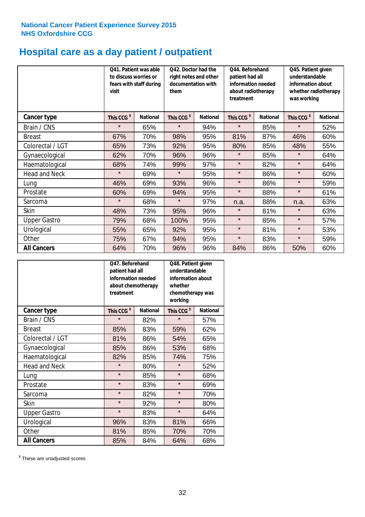# **Hospital care as a day patient / outpatient**

|                      | to discuss worries or<br>visit | Q41. Patient was able<br>fears with staff during | Q42. Doctor had the<br>right notes and other<br>documentation with<br>them |                 | Q44. Beforehand<br>patient had all<br>information needed<br>about radiotherapy<br>treatment |                 | Q45. Patient given<br>understandable<br>information about<br>whether radiotherapy<br>was working |                 |
|----------------------|--------------------------------|--------------------------------------------------|----------------------------------------------------------------------------|-----------------|---------------------------------------------------------------------------------------------|-----------------|--------------------------------------------------------------------------------------------------|-----------------|
| Cancer type          | This CCG <sup>\$</sup>         | <b>National</b>                                  | This CCG <sup>\$</sup>                                                     | <b>National</b> | This CCG <sup>\$</sup>                                                                      | <b>National</b> | This CCG <sup>\$</sup>                                                                           | <b>National</b> |
| Brain / CNS          | $\star$                        | 65%                                              | $\star$                                                                    | 94%             | $\star$                                                                                     | 85%             | $\star$                                                                                          | 52%             |
| <b>Breast</b>        | 67%                            | 70%                                              | 98%                                                                        | 95%             | 81%                                                                                         | 87%             | 46%                                                                                              | 60%             |
| Colorectal / LGT     | 65%                            | 73%                                              | 92%                                                                        | 95%             | 80%                                                                                         | 85%             | 48%                                                                                              | 55%             |
| Gynaecological       | 62%                            | 70%                                              | 96%                                                                        | 96%             | $\star$                                                                                     | 85%             | $\star$                                                                                          | 64%             |
| Haematological       | 68%                            | 74%                                              | 99%                                                                        | 97%             | $\star$                                                                                     | 82%             | $\star$                                                                                          | 64%             |
| <b>Head and Neck</b> | $\star$                        | 69%                                              | $\star$                                                                    | 95%             | $\star$                                                                                     | 86%             | $\star$                                                                                          | 60%             |
| Lung                 | 46%                            | 69%                                              | 93%                                                                        | 96%             | $\star$                                                                                     | 86%             | $\star$                                                                                          | 59%             |
| Prostate             | 60%                            | 69%                                              | 94%                                                                        | 95%             | $\star$                                                                                     | 88%             | $\star$                                                                                          | 61%             |
| Sarcoma              | $\star$                        | 68%                                              | $\star$                                                                    | 97%             | n.a.                                                                                        | 88%             | n.a.                                                                                             | 63%             |
| Skin                 | 48%                            | 73%                                              | 95%                                                                        | 96%             | $\star$                                                                                     | 81%             | $\star$                                                                                          | 63%             |
| <b>Upper Gastro</b>  | 79%                            | 68%                                              | 100%                                                                       | 95%             | $\star$                                                                                     | 85%             | $\star$                                                                                          | 57%             |
| Urological           | 55%                            | 65%                                              | 92%                                                                        | 95%             | $\star$                                                                                     | 81%             | $\star$                                                                                          | 53%             |
| Other                | 75%                            | 67%                                              | 94%                                                                        | 95%             | $\star$                                                                                     | 83%             | $\star$                                                                                          | 59%             |
| <b>All Cancers</b>   | 64%                            | 70%                                              | 96%                                                                        | 96%             | 84%                                                                                         | 86%             | 50%                                                                                              | 60%             |

|                      | O47. Beforehand<br>patient had all<br>information needed<br>treatment | about chemotherapy | Q48. Patient given<br>understandable<br>information about<br>whether<br>chemotherapy was<br>working |                 |  |
|----------------------|-----------------------------------------------------------------------|--------------------|-----------------------------------------------------------------------------------------------------|-----------------|--|
| <b>Cancer type</b>   | This CCG <sup>\$</sup>                                                | <b>National</b>    | This CCG <sup>\$</sup>                                                                              | <b>National</b> |  |
| Brain / CNS          | $\star$                                                               | 82%                | $\star$                                                                                             | 57%             |  |
| <b>Breast</b>        | 85%                                                                   | 83%                | 59%                                                                                                 | 62%             |  |
| Colorectal / LGT     | 81%                                                                   | 86%                | 54%                                                                                                 | 65%             |  |
| Gynaecological       | 85%                                                                   | 86%                | 53%                                                                                                 | 68%             |  |
| Haematological       | 82%                                                                   | 85%                |                                                                                                     | 75%             |  |
| <b>Head and Neck</b> | $\star$                                                               | 80%                | $\star$                                                                                             | 52%             |  |
| Lung                 | $\star$                                                               | 85%                | $\star$                                                                                             | 68%             |  |
| Prostate             | $\star$                                                               | 83%                | $\star$                                                                                             | 69%             |  |
| Sarcoma              | $\star$                                                               | 82%                | $\star$                                                                                             | 70%             |  |
| Skin                 | $\star$                                                               | 92%                | $\star$                                                                                             | 80%             |  |
| <b>Upper Gastro</b>  | $\star$                                                               | 83%                | $\star$                                                                                             | 64%             |  |
| Urological           | 96%                                                                   | 83%                | 81%                                                                                                 | 66%             |  |
| Other                | 81%                                                                   | 85%                | 70%                                                                                                 | 70%             |  |
| <b>All Cancers</b>   | 85%                                                                   | 84%                | 64%                                                                                                 | 68%             |  |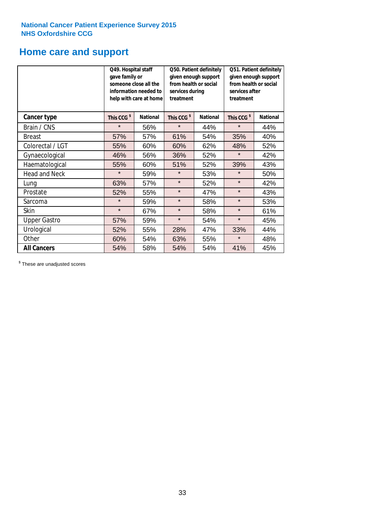# **Home care and support**

|                      | Q49. Hospital staff<br>gave family or | someone close all the<br>information needed to<br>help with care at home | from health or social<br>services during<br>treatment | Q50. Patient definitely<br>given enough support | Q51. Patient definitely<br>given enough support<br>from health or social<br>services after<br>treatment |     |  |
|----------------------|---------------------------------------|--------------------------------------------------------------------------|-------------------------------------------------------|-------------------------------------------------|---------------------------------------------------------------------------------------------------------|-----|--|
| <b>Cancer type</b>   | This CCG <sup>\$</sup>                | <b>National</b><br>This CCG <sup>\$</sup><br><b>National</b>             |                                                       | This CCG <sup>\$</sup>                          | <b>National</b>                                                                                         |     |  |
| Brain / CNS          | $\star$                               | 56%                                                                      | $\star$                                               | 44%                                             | $\star$                                                                                                 | 44% |  |
| <b>Breast</b>        | 57%                                   | 57%                                                                      | 61%                                                   | 54%                                             | 35%                                                                                                     | 40% |  |
| Colorectal / LGT     | 55%                                   | 60%                                                                      | 60%                                                   | 62%                                             | 48%                                                                                                     | 52% |  |
| Gynaecological       | 46%                                   | 56%                                                                      | 36%                                                   | 52%                                             | $\star$                                                                                                 | 42% |  |
| Haematological       | 55%                                   | 60%                                                                      | 51%                                                   | 52%                                             | 39%                                                                                                     | 43% |  |
| <b>Head and Neck</b> | $\star$                               | 59%                                                                      | $\star$                                               | 53%                                             | $\star$                                                                                                 | 50% |  |
| Lung                 | 63%                                   | 57%                                                                      | $\star$                                               | 52%                                             | $\star$                                                                                                 | 42% |  |
| Prostate             | 52%                                   | 55%                                                                      | $\star$                                               | 47%                                             | $\star$                                                                                                 | 43% |  |
| Sarcoma              | $\star$                               | 59%                                                                      | $\star$                                               | 58%                                             | $\star$                                                                                                 | 53% |  |
| Skin                 | $\star$                               | 67%                                                                      | $\star$                                               | 58%                                             | $\star$                                                                                                 | 61% |  |
| <b>Upper Gastro</b>  | 57%                                   | 59%                                                                      | $\star$                                               | 54%                                             | $\star$                                                                                                 | 45% |  |
| Urological           | 52%                                   | 55%                                                                      | 28%                                                   | 47%                                             | 33%                                                                                                     | 44% |  |
| Other                | 60%                                   | 54%                                                                      | 63%                                                   | 55%                                             | $\star$                                                                                                 | 48% |  |
| <b>All Cancers</b>   | 54%                                   | 58%                                                                      | 54%                                                   | 54%                                             | 41%                                                                                                     | 45% |  |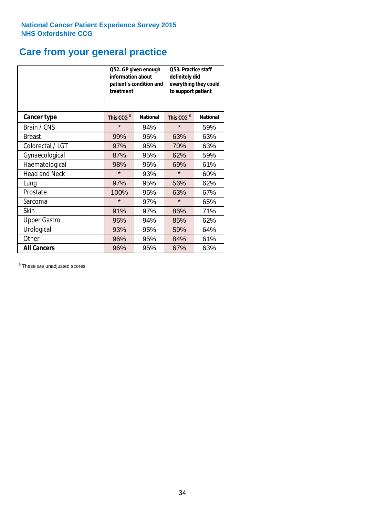## **Care from your general practice**

|                      | information about<br>treatment | Q52. GP given enough<br>patient's condition and | Q53. Practice staff<br>definitely did<br>everything they could<br>to support patient |                 |  |
|----------------------|--------------------------------|-------------------------------------------------|--------------------------------------------------------------------------------------|-----------------|--|
| <b>Cancer type</b>   | This CCG <sup>\$</sup>         | <b>National</b>                                 | This CCG <sup>\$</sup>                                                               | <b>National</b> |  |
| Brain / CNS          | $\star$                        | 94%                                             | $\star$                                                                              | 59%             |  |
| <b>Breast</b>        | 99%                            | 96%                                             | 63%                                                                                  | 63%             |  |
| Colorectal / LGT     | 97%                            | 95%                                             | 70%                                                                                  | 63%             |  |
| Gynaecological       | 87%                            | 95%                                             | 62%                                                                                  | 59%             |  |
| Haematological       | 98%                            | 96%                                             | 69%                                                                                  | 61%             |  |
| <b>Head and Neck</b> | $\star$                        | 93%                                             | $\star$                                                                              | 60%             |  |
| Lung                 | 97%                            | 95%                                             | 56%                                                                                  | 62%             |  |
| Prostate             | 100%                           | 95%                                             | 63%                                                                                  | 67%             |  |
| Sarcoma              | $\star$                        | 97%                                             | $\star$                                                                              | 65%             |  |
| Skin                 | 91%                            | 97%                                             | 86%                                                                                  | 71%             |  |
| <b>Upper Gastro</b>  | 96%                            | 94%                                             | 85%                                                                                  | 62%             |  |
| Urological           | 93%                            | 95%                                             | 59%                                                                                  | 64%             |  |
| Other                | 96%                            | 95%                                             | 84%                                                                                  | 61%             |  |
| <b>All Cancers</b>   | 96%                            | 95%                                             | 67%                                                                                  | 63%             |  |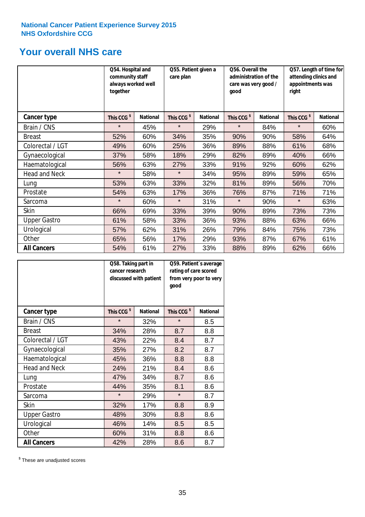## **Your overall NHS care**

|                      | Q54. Hospital and<br>community staff<br>always worked well<br>together |                 | Q55. Patient given a<br>care plan |                 | Q56. Overall the<br>administration of the<br>care was very good /<br>qood |                 | Q57. Length of time for<br>attending clinics and<br>appointments was<br>right |                 |
|----------------------|------------------------------------------------------------------------|-----------------|-----------------------------------|-----------------|---------------------------------------------------------------------------|-----------------|-------------------------------------------------------------------------------|-----------------|
| <b>Cancer type</b>   | This CCG <sup>\$</sup>                                                 | <b>National</b> | This CCG <sup>\$</sup>            | <b>National</b> | This CCG <sup>\$</sup>                                                    | <b>National</b> | This CCG <sup>\$</sup>                                                        | <b>National</b> |
| Brain / CNS          | $\star$                                                                | 45%             | $\star$                           | 29%             | $\star$                                                                   | 84%             | $\star$                                                                       | 60%             |
| <b>Breast</b>        | 52%                                                                    | 60%             | 34%                               | 35%             | 90%                                                                       | 90%             | 58%                                                                           | 64%             |
| Colorectal / LGT     | 49%                                                                    | 60%             | 25%                               | 36%             | 89%                                                                       | 88%             | 61%                                                                           | 68%             |
| Gynaecological       | 37%                                                                    | 58%             | 18%                               | 29%             | 82%                                                                       | 89%             | 40%                                                                           | 66%             |
| Haematological       | 56%                                                                    | 63%             | 27%                               | 33%             | 91%                                                                       | 92%             | 60%                                                                           | 62%             |
| <b>Head and Neck</b> | $\star$                                                                | 58%             | $\star$                           | 34%             | 95%                                                                       | 89%             | 59%                                                                           | 65%             |
| Lung                 | 53%                                                                    | 63%             | 33%                               | 32%             | 81%                                                                       | 89%             | 56%                                                                           | 70%             |
| Prostate             | 54%                                                                    | 63%             | 17%                               | 36%             | 76%                                                                       | 87%             | 71%                                                                           | 71%             |
| Sarcoma              | $\star$                                                                | 60%             | $\star$                           | 31%             | $\star$                                                                   | 90%             | $\star$                                                                       | 63%             |
| Skin                 | 66%                                                                    | 69%             | 33%                               | 39%             | 90%                                                                       | 89%             | 73%                                                                           | 73%             |
| <b>Upper Gastro</b>  | 61%                                                                    | 58%             | 33%                               | 36%             | 93%                                                                       | 88%             | 63%                                                                           | 66%             |
| Urological           | 57%                                                                    | 62%             | 31%                               | 26%             | 79%                                                                       | 84%             | 75%                                                                           | 73%             |
| Other                | 65%                                                                    | 56%             | 17%                               | 29%             | 93%                                                                       | 87%             | 67%                                                                           | 61%             |
| <b>All Cancers</b>   | 54%                                                                    | 61%             | 27%                               | 33%             | 88%                                                                       | 89%             | 62%                                                                           | 66%             |

|                      | Q58. Taking part in<br>cancer research | discussed with patient | Q59. Patient's average<br>rating of care scored<br>from very poor to very<br>good |                 |  |
|----------------------|----------------------------------------|------------------------|-----------------------------------------------------------------------------------|-----------------|--|
| <b>Cancer type</b>   | This CCG <sup>\$</sup>                 | <b>National</b>        | This CCG <sup>\$</sup>                                                            | <b>National</b> |  |
| Brain / CNS          | $\star$                                | 32%                    | $\star$                                                                           | 8.5             |  |
| <b>Breast</b>        | 34%                                    | 28%                    | 8.7                                                                               | 8.8             |  |
| Colorectal / LGT     | 43%                                    | 22%                    | 8.4                                                                               | 8.7             |  |
| Gynaecological       | 35%                                    | 27%                    | 8.2                                                                               | 8.7             |  |
| Haematological       | 45%                                    | 36%                    | 8.8                                                                               | 8.8             |  |
| <b>Head and Neck</b> | 24%                                    | 21%                    | 8.4                                                                               | 8.6             |  |
| Lung                 | 47%                                    | 34%                    | 8.7                                                                               | 8.6             |  |
| Prostate             | 44%                                    | 35%                    | 8.1                                                                               | 8.6             |  |
| Sarcoma              | $\star$                                | 29%                    | $\star$                                                                           | 8.7             |  |
| <b>Skin</b>          | 32%                                    | 17%                    | 8.8                                                                               | 8.9             |  |
| <b>Upper Gastro</b>  | 48%                                    | 30%                    | 8.8                                                                               | 8.6             |  |
| Urological           | 46%                                    | 14%                    | 8.5                                                                               | 8.5             |  |
| Other                | 60%                                    | 31%                    | 8.8                                                                               | 8.6             |  |
| <b>All Cancers</b>   | 42%                                    | 28%                    | 8.6                                                                               | 8.7             |  |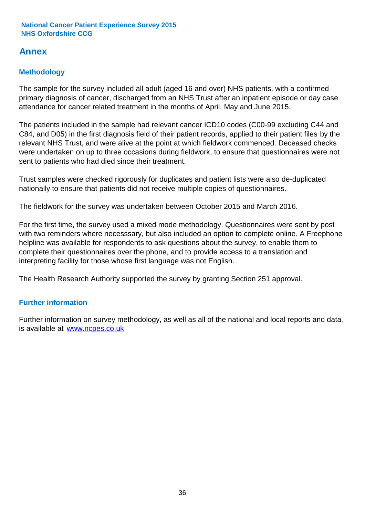## **Annex**

## **Methodology**

The sample for the survey included all adult (aged 16 and over) NHS patients, with a confirmed primary diagnosis of cancer, discharged from an NHS Trust after an inpatient episode or day case attendance for cancer related treatment in the months of April, May and June 2015.

The patients included in the sample had relevant cancer ICD10 codes (C00-99 excluding C44 and C84, and D05) in the first diagnosis field of their patient records, applied to their patient files by the relevant NHS Trust, and were alive at the point at which fieldwork commenced. Deceased checks were undertaken on up to three occasions during fieldwork, to ensure that questionnaires were not sent to patients who had died since their treatment.

Trust samples were checked rigorously for duplicates and patient lists were also de-duplicated nationally to ensure that patients did not receive multiple copies of questionnaires.

The fieldwork for the survey was undertaken between October 2015 and March 2016.

For the first time, the survey used a mixed mode methodology. Questionnaires were sent by post with two reminders where necesssary, but also included an option to complete online. A Freephone helpline was available for respondents to ask questions about the survey, to enable them to complete their questionnaires over the phone, and to provide access to a translation and interpreting facility for those whose first language was not English.

The Health Research Authority supported the survey by granting Section 251 approval.

## **Further information**

Further information on survey methodology, as well as all of the national and local reports and data, is available at www.ncpes.co.uk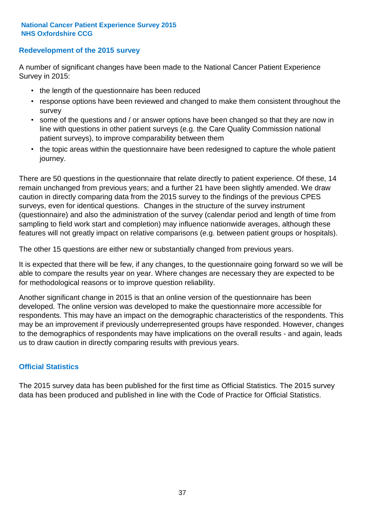### **Redevelopment of the 2015 survey**

A number of significant changes have been made to the National Cancer Patient Experience Survey in 2015:

- the length of the questionnaire has been reduced
- response options have been reviewed and changed to make them consistent throughout the survey
- some of the questions and / or answer options have been changed so that they are now in line with questions in other patient surveys (e.g. the Care Quality Commission national patient surveys), to improve comparability between them
- the topic areas within the questionnaire have been redesigned to capture the whole patient journey.

There are 50 questions in the questionnaire that relate directly to patient experience. Of these, 14 remain unchanged from previous years; and a further 21 have been slightly amended. We draw caution in directly comparing data from the 2015 survey to the findings of the previous CPES surveys, even for identical questions. Changes in the structure of the survey instrument (questionnaire) and also the administration of the survey (calendar period and length of time from sampling to field work start and completion) may influence nationwide averages, although these features will not greatly impact on relative comparisons (e.g. between patient groups or hospitals).

The other 15 questions are either new or substantially changed from previous years.

It is expected that there will be few, if any changes, to the questionnaire going forward so we will be able to compare the results year on year. Where changes are necessary they are expected to be for methodological reasons or to improve question reliability.

Another significant change in 2015 is that an online version of the questionnaire has been developed. The online version was developed to make the questionnaire more accessible for respondents. This may have an impact on the demographic characteristics of the respondents. This may be an improvement if previously underrepresented groups have responded. However, changes to the demographics of respondents may have implications on the overall results - and again, leads us to draw caution in directly comparing results with previous years.

### **Official Statistics**

The 2015 survey data has been published for the first time as Official Statistics. The 2015 survey data has been produced and published in line with the Code of Practice for Official Statistics.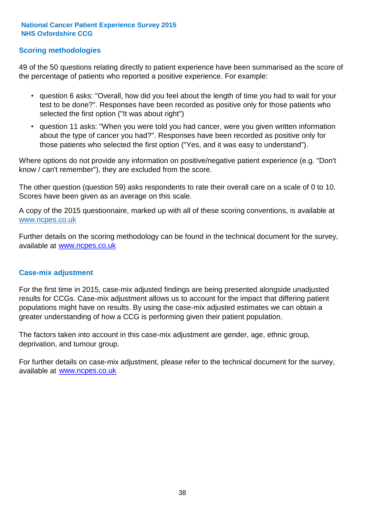### **Scoring methodologies**

49 of the 50 questions relating directly to patient experience have been summarised as the score of the percentage of patients who reported a positive experience. For example:

- question 6 asks: "Overall, how did you feel about the length of time you had to wait for your test to be done?". Responses have been recorded as positive only for those patients who selected the first option ("It was about right")
- question 11 asks: "When you were told you had cancer, were you given written information about the type of cancer you had?". Responses have been recorded as positive only for those patients who selected the first option ("Yes, and it was easy to understand").

Where options do not provide any information on positive/negative patient experience (e.g. "Don't know / can't remember"), they are excluded from the score.

The other question (question 59) asks respondents to rate their overall care on a scale of 0 to 10. Scores have been given as an average on this scale.

A copy of the 2015 questionnaire, marked up with all of these scoring conventions, is available at www.ncpes.co.uk

Further details on the scoring methodology can be found in the technical document for the survey, available at <u>www.ncpes.co.uk</u>

#### **Case-mix adjustment**

For the first time in 2015, case-mix adjusted findings are being presented alongside unadjusted results for CCGs. Case-mix adjustment allows us to account for the impact that differing patient populations might have on results. By using the case-mix adjusted estimates we can obtain a greater understanding of how a CCG is performing given their patient population.

The factors taken into account in this case-mix adjustment are gender, age, ethnic group, deprivation, and tumour group.

For further details on case-mix adjustment, please refer to the technical document for the survey, available at www.ncpes.co.uk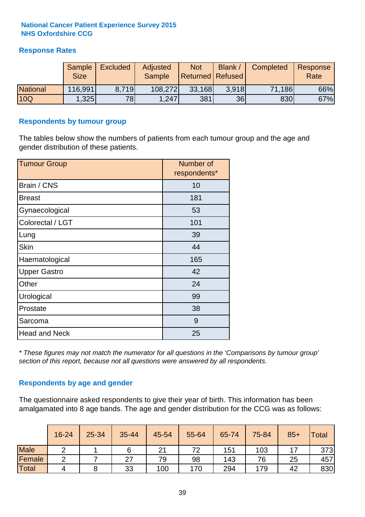### **Response Rates**

|                 | <b>Sample</b><br><b>Size</b> | <b>Excluded</b> | Adjusted<br><b>Sample</b> | <b>Not</b><br><b>Returned Refused</b> | <b>Blank</b> | Completed | Response<br>Rate |
|-----------------|------------------------------|-----------------|---------------------------|---------------------------------------|--------------|-----------|------------------|
| <b>National</b> | 116,991                      | 8.719           | 108,272                   | 33,168                                | 3.918        | 71,186    | 66%              |
| 10Q             | ,325                         | 78              | 1,247                     | 381                                   | 36           | 830       | 67%              |

#### **Respondents by tumour group**

The tables below show the numbers of patients from each tumour group and the age and gender distribution of these patients.

| <b>Tumour Group</b>  | Number of<br>respondents* |
|----------------------|---------------------------|
| Brain / CNS          | 10                        |
| <b>Breast</b>        | 181                       |
| Gynaecological       | 53                        |
| Colorectal / LGT     | 101                       |
| Lung                 | 39                        |
| <b>Skin</b>          | 44                        |
| Haematological       | 165                       |
| <b>Upper Gastro</b>  | 42                        |
| Other                | 24                        |
| Urological           | 99                        |
| Prostate             | 38                        |
| Sarcoma              | 9                         |
| <b>Head and Neck</b> | 25                        |

*\* These figures may not match the numerator for all questions in the 'Comparisons by tumour group' section of this report, because not all questions were answered by all respondents.*

### **Respondents by age and gender**

The questionnaire asked respondents to give their year of birth. This information has been amalgamated into 8 age bands. The age and gender distribution for the CCG was as follows:

|             | 16-24 | $25 - 34$ | 35-44 | 45-54 | 55-64 | 65-74 | 75-84 | $85+$ | Total |
|-------------|-------|-----------|-------|-------|-------|-------|-------|-------|-------|
| <b>Male</b> |       |           |       | 21    | 72    | 151   | 103   |       | 373   |
| Female      | ◠     |           | 27    | 79    | 98    | 143   | 76    | 25    | 457   |
| Total       | 4     |           | 33    | 100   | 170   | 294   | 179   | 42    | 830   |